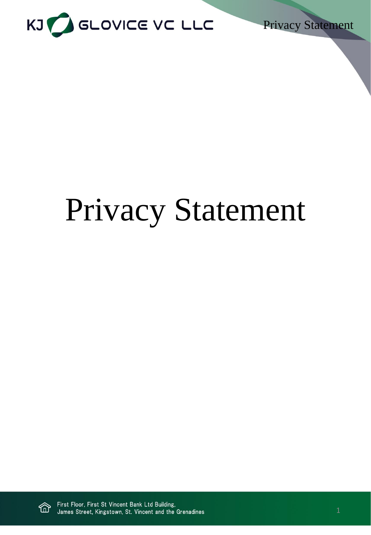

Privacy Statement

# Privacy Statement

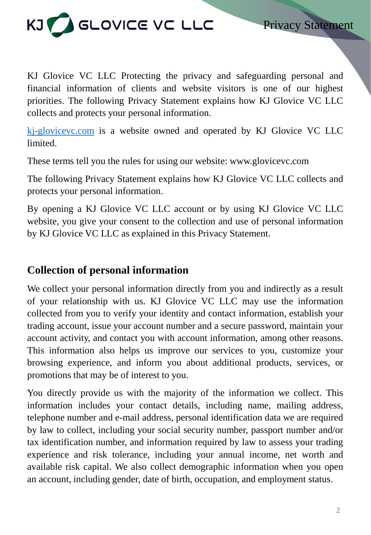

Privacy Statement

KJ Glovice VC LLC Protecting the privacy and safeguarding personal and financial information of clients and website visitors is one of our highest priorities. The following Privacy Statement explains how KJ Glovice VC LLC collects and protects your personal information.

[kj-glovicevc.com](https://kj-glovicevc.com/) is a website owned and operated by KJ Glovice VC LLC limited.

These terms tell you the rules for using our website: www.glovicevc.com

The following Privacy Statement explains how KJ Glovice VC LLC collects and protects your personal information.

By opening a KJ Glovice VC LLC account or by using KJ Glovice VC LLC website, you give your consent to the collection and use of personal information by KJ Glovice VC LLC as explained in this Privacy Statement.

## **Collection of personal information**

We collect your personal information directly from you and indirectly as a result of your relationship with us. KJ Glovice VC LLC may use the information collected from you to verify your identity and contact information, establish your trading account, issue your account number and a secure password, maintain your account activity, and contact you with account information, among other reasons. This information also helps us improve our services to you, customize your browsing experience, and inform you about additional products, services, or promotions that may be of interest to you.

You directly provide us with the majority of the information we collect. This information includes your contact details, including name, mailing address, telephone number and e-mail address, personal identification data we are required by law to collect, including your social security number, passport number and/or tax identification number, and information required by law to assess your trading experience and risk tolerance, including your annual income, net worth and available risk capital. We also collect demographic information when you open an account, including gender, date of birth, occupation, and employment status.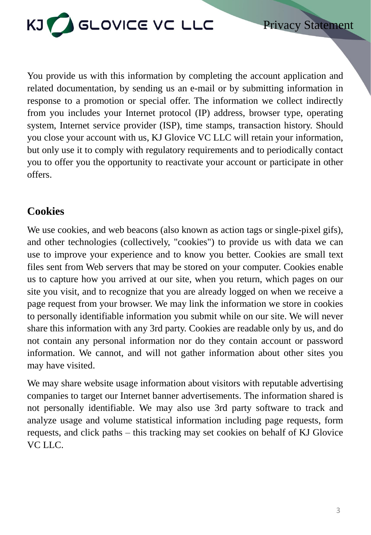

You provide us with this information by completing the account application and related documentation, by sending us an e-mail or by submitting information in response to a promotion or special offer. The information we collect indirectly from you includes your Internet protocol (IP) address, browser type, operating system, Internet service provider (ISP), time stamps, transaction history. Should you close your account with us, KJ Glovice VC LLC will retain your information, but only use it to comply with regulatory requirements and to periodically contact you to offer you the opportunity to reactivate your account or participate in other offers.

# **Cookies**

We use cookies, and web beacons (also known as action tags or single-pixel gifs), and other technologies (collectively, "cookies") to provide us with data we can use to improve your experience and to know you better. Cookies are small text files sent from Web servers that may be stored on your computer. Cookies enable us to capture how you arrived at our site, when you return, which pages on our site you visit, and to recognize that you are already logged on when we receive a page request from your browser. We may link the information we store in cookies to personally identifiable information you submit while on our site. We will never share this information with any 3rd party. Cookies are readable only by us, and do not contain any personal information nor do they contain account or password information. We cannot, and will not gather information about other sites you may have visited.

We may share website usage information about visitors with reputable advertising companies to target our Internet banner advertisements. The information shared is not personally identifiable. We may also use 3rd party software to track and analyze usage and volume statistical information including page requests, form requests, and click paths – this tracking may set cookies on behalf of KJ Glovice VC LLC.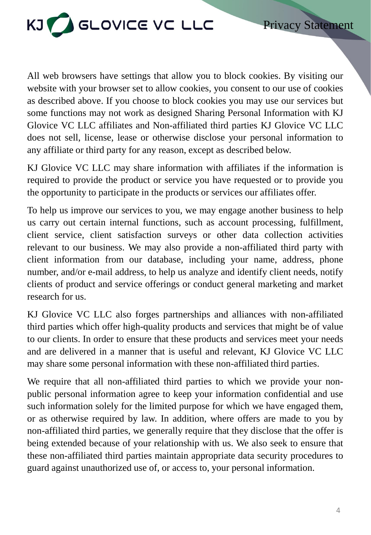

All web browsers have settings that allow you to block cookies. By visiting our website with your browser set to allow cookies, you consent to our use of cookies as described above. If you choose to block cookies you may use our services but some functions may not work as designed Sharing Personal Information with KJ Glovice VC LLC affiliates and Non-affiliated third parties KJ Glovice VC LLC does not sell, license, lease or otherwise disclose your personal information to any affiliate or third party for any reason, except as described below.

KJ Glovice VC LLC may share information with affiliates if the information is required to provide the product or service you have requested or to provide you the opportunity to participate in the products or services our affiliates offer.

To help us improve our services to you, we may engage another business to help us carry out certain internal functions, such as account processing, fulfillment, client service, client satisfaction surveys or other data collection activities relevant to our business. We may also provide a non-affiliated third party with client information from our database, including your name, address, phone number, and/or e-mail address, to help us analyze and identify client needs, notify clients of product and service offerings or conduct general marketing and market research for us.

KJ Glovice VC LLC also forges partnerships and alliances with non-affiliated third parties which offer high-quality products and services that might be of value to our clients. In order to ensure that these products and services meet your needs and are delivered in a manner that is useful and relevant, KJ Glovice VC LLC may share some personal information with these non-affiliated third parties.

We require that all non-affiliated third parties to which we provide your nonpublic personal information agree to keep your information confidential and use such information solely for the limited purpose for which we have engaged them, or as otherwise required by law. In addition, where offers are made to you by non-affiliated third parties, we generally require that they disclose that the offer is being extended because of your relationship with us. We also seek to ensure that these non-affiliated third parties maintain appropriate data security procedures to guard against unauthorized use of, or access to, your personal information.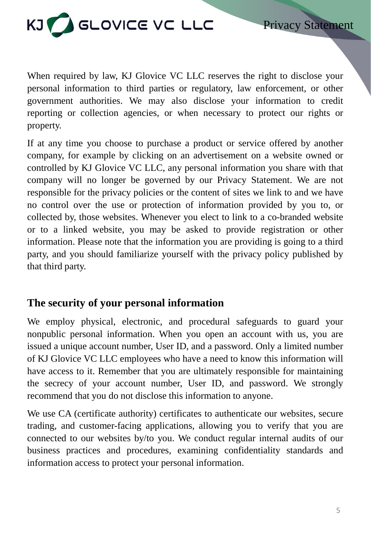

When required by law, KJ Glovice VC LLC reserves the right to disclose your personal information to third parties or regulatory, law enforcement, or other government authorities. We may also disclose your information to credit reporting or collection agencies, or when necessary to protect our rights or property.

If at any time you choose to purchase a product or service offered by another company, for example by clicking on an advertisement on a website owned or controlled by KJ Glovice VC LLC, any personal information you share with that company will no longer be governed by our Privacy Statement. We are not responsible for the privacy policies or the content of sites we link to and we have no control over the use or protection of information provided by you to, or collected by, those websites. Whenever you elect to link to a co-branded website or to a linked website, you may be asked to provide registration or other information. Please note that the information you are providing is going to a third party, and you should familiarize yourself with the privacy policy published by that third party.

#### **The security of your personal information**

We employ physical, electronic, and procedural safeguards to guard your nonpublic personal information. When you open an account with us, you are issued a unique account number, User ID, and a password. Only a limited number of KJ Glovice VC LLC employees who have a need to know this information will have access to it. Remember that you are ultimately responsible for maintaining the secrecy of your account number, User ID, and password. We strongly recommend that you do not disclose this information to anyone.

We use CA (certificate authority) certificates to authenticate our websites, secure trading, and customer-facing applications, allowing you to verify that you are connected to our websites by/to you. We conduct regular internal audits of our business practices and procedures, examining confidentiality standards and information access to protect your personal information.